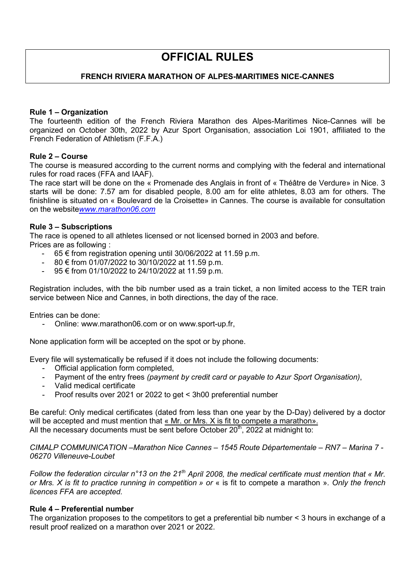# **OFFICIAL RULES**

# **FRENCH RIVIERA MARATHON OF ALPES-MARITIMES NICE-CANNES**

# **Rule 1 – Organization**

The fourteenth edition of the French Riviera Marathon des Alpes-Maritimes Nice-Cannes will be organized on October 30th, 2022 by Azur Sport Organisation, association Loi 1901, affiliated to the French Federation of Athletism (F.F.A.)

# **Rule 2 – Course**

The course is measured according to the current norms and complying with the federal and international rules for road races (FFA and IAAF).

The race start will be done on the « Promenade des Anglais in front of « Théâtre de Verdure» in Nice. 3 starts will be done: 7.57 am for disabled people, 8.00 am for elite athletes, 8.03 am for others. The finishline is situated on « Boulevard de la Croisette» in Cannes. The course is available for consultation on the website*www.marathon06.com*

# **Rule 3 – Subscriptions**

The race is opened to all athletes licensed or not licensed borned in 2003 and before. Prices are as following :

- 65 € from registration opening until 30/06/2022 at 11.59 p.m.
- 80 € from 01/07/2022 to 30/10/2022 at 11.59 p.m.
- 95 € from 01/10/2022 to 24/10/2022 at 11.59 p.m.

Registration includes, with the bib number used as a train ticket, a non limited access to the TER train service between Nice and Cannes, in both directions, the day of the race.

Entries can be done:

- Online: [www.marathon06.com](http://www.marathon06.com/) or on www.sport-up.fr,

None application form will be accepted on the spot or by phone.

Every file will systematically be refused if it does not include the following documents:

- Official application form completed.
- Payment of the entry frees *(payment by credit card or payable to Azur Sport Organisation)*,
- Valid medical certificate<br>- Proof results over 2021
- Proof results over 2021 or 2022 to get < 3h00 preferential number

Be careful: Only medical certificates (dated from less than one year by the D-Day) delivered by a doctor will be accepted and must mention that « Mr. or Mrs. X is fit to compete a marathon». All the necessary documents must be sent before October  $20<sup>th</sup>$ , 2022 at midnight to:

*CIMALP COMMUNICATION –Marathon Nice Cannes – 1545 Route Départementale – RN7 – Marina 7 - 06270 Villeneuve-Loubet* 

*Follow the federation circular n°13 on the 21th April 2008, the medical certificate must mention that « Mr. or Mrs. X is fit to practice running in competition » or* « is fit to compete a marathon »*. Only the french licences FFA are accepted.*

#### **Rule 4 – Preferential number**

The organization proposes to the competitors to get a preferential bib number < 3 hours in exchange of a result proof realized on a marathon over 2021 or 2022.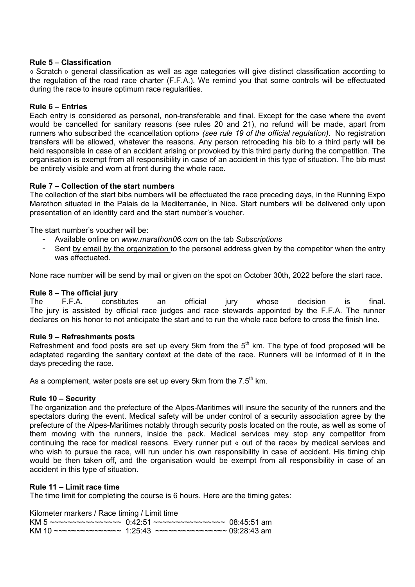# **Rule 5 – Classification**

« Scratch » general classification as well as age categories will give distinct classification according to the regulation of the road race charter (F.F.A.). We remind you that some controls will be effectuated during the race to insure optimum race regularities.

# **Rule 6 – Entries**

Each entry is considered as personal, non-transferable and final. Except for the case where the event would be cancelled for sanitary reasons (see rules 20 and 21), no refund will be made, apart from runners who subscribed the «cancellation option» *(see rule 19 of the official regulation)*. No registration transfers will be allowed, whatever the reasons. Any person retroceding his bib to a third party will be held responsible in case of an accident arising or provoked by this third party during the competition. The organisation is exempt from all responsibility in case of an accident in this type of situation. The bib must be entirely visible and worn at front during the whole race.

# **Rule 7 – Collection of the start numbers**

The collection of the start bibs numbers will be effectuated the race preceding days, in the Running Expo Marathon situated in the Palais de la Mediterranée, in Nice. Start numbers will be delivered only upon presentation of an identity card and the start number's voucher.

The start number's voucher will be:

- Available online on *www.marathon06.com* on the tab *Subscriptions*
- Sent by email by the organization to the personal address given by the competitor when the entry was effectuated.

None race number will be send by mail or given on the spot on October 30th, 2022 before the start race.

**Rule 8 – The official jury** The F.F.A. constitutes an official jury whose decision is final. The jury is assisted by official race judges and race stewards appointed by the F.F.A. The runner declares on his honor to not anticipate the start and to run the whole race before to cross the finish line.

#### **Rule 9 – Refreshments posts**

Refreshment and food posts are set up every 5km from the  $5<sup>th</sup>$  km. The type of food proposed will be adaptated regarding the sanitary context at the date of the race. Runners will be informed of it in the days preceding the race.

As a complement, water posts are set up every 5km from the  $7.5<sup>th</sup>$  km.

#### **Rule 10 – Security**

The organization and the prefecture of the Alpes-Maritimes will insure the security of the runners and the spectators during the event. Medical safety will be under control of a security association agree by the prefecture of the Alpes-Maritimes notably through security posts located on the route, as well as some of them moving with the runners, inside the pack. Medical services may stop any competitor from continuing the race for medical reasons. Every runner put « out of the race» by medical services and who wish to pursue the race, will run under his own responsibility in case of accident. His timing chip would be then taken off, and the organisation would be exempt from all responsibility in case of an accident in this type of situation.

# **Rule 11 – Limit race time**

The time limit for completing the course is 6 hours. Here are the timing gates:

Kilometer markers / Race timing / Limit time

KM 5 ~~~~~~~~~~~~~~~~~~  $0:42:51$  ~~~~~~~~~~~~~~~~~~ 08:45:51 am KM 10 ~~~~~~~~~~~~~~~~~~~ 1:25:43 ~~~~~~~~~~~~~~~~~~~ 09:28:43 am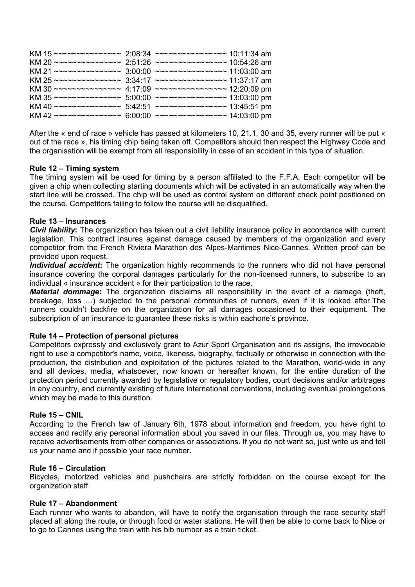| KM 15 ~~~~~~~~~~~~~~ 2:08:34 ~~~~~~~~~~~~~~~~ 10:11:34 am  |                                        |  |
|------------------------------------------------------------|----------------------------------------|--|
| KM 20 ~~~~~~~~~~~~~~~ 2:51:26 ~~~~~~~~~~~~~~~~ 10:54:26 am |                                        |  |
| KM 21 ~~~~~~~~~~~~~~~                                      | $3:00:00$ ~~~~~~~~~~~~~~~~ 11:03:00 am |  |
| KM 25 ~~~~~~~~~~~~~~ 3:34:17 ~~~~~~~~~~~~~~~~ 11:37:17 am  |                                        |  |
| KM 30 ~~~~~~~~~~~~~~~ 4:17:09 ~~~~~~~~~~~~~~~~ 12:20:09 pm |                                        |  |
| KM 35 ~~~~~~~~~~~~~~~                                      | 5:00:00 ~~~~~~~~~~~~~~~~ 13:03:00 pm   |  |
| KM 40 ~~~~~~~~~~~~~~~                                      | 5:42:51 ~~~~~~~~~~~~~~~~ 13:45:51 pm   |  |
| KM 42 ~~~~~~~~~~~~~~~                                      | 6:00:00 ~~~~~~~~~~~~~~~~ 14:03:00 pm   |  |

After the « end of race » vehicle has passed at kilometers 10, 21.1, 30 and 35, every runner will be put « out of the race », his timing chip being taken off. Competitors should then respect the Highway Code and the organisation will be exempt from all responsibility in case of an accident in this type of situation.

# **Rule 12 – Timing system**

The timing system will be used for timing by a person affiliated to the F.F.A. Each competitor will be given a chip when collecting starting documents which will be activated in an automatically way when the start line will be crossed. The chip will be used as control system on different check point positioned on the course. Competitors failing to follow the course will be disqualified.

# **Rule 13 – Insurances**

*Civil liability***:** The organization has taken out a civil liability insurance policy in accordance with current legislation. This contract insures against damage caused by members of the organization and every competitor from the French Riviera Marathon des Alpes-Maritimes Nice-Cannes. Written proof can be provided upon request.

*Individual accident***:** The organization highly recommends to the runners who did not have personal insurance covering the corporal damages particularly for the non-licensed runners, to subscribe to an individual « insurance accident » for their participation to the race.

*Material dommage***:** The organization disclaims all responsibility in the event of a damage (theft, breakage, loss …) subjected to the personal communities of runners, even if it is looked after.The runners couldn't backfire on the organization for all damages occasioned to their equipment. The subscription of an insurance to guarantee these risks is within eachone's province.

# **Rule 14 – Protection of personal pictures**

Competitors expressly and exclusively grant to Azur Sport Organisation and its assigns, the irrevocable right to use a competitor's name, voice, likeness, biography, factually or otherwise in connection with the production, the distribution and exploitation of the pictures related to the Marathon, world-wide in any and all devices, media, whatsoever, now known or hereafter known, for the entire duration of the protection period currently awarded by legislative or regulatory bodies, court decisions and/or arbitrages in any country, and currently existing of future international conventions, including eventual prolongations which may be made to this duration.

#### **Rule 15 – CNIL**

According to the French law of January 6th, 1978 about information and freedom, you have right to access and rectify any personal information about you saved in our files. Through us, you may have to receive advertisements from other companies or associations. If you do not want so, just write us and tell us your name and if possible your race number.

#### **Rule 16 – Circulation**

Bicycles, motorized vehicles and pushchairs are strictly forbidden on the course except for the organization staff.

#### **Rule 17 – Abandonment**

Each runner who wants to abandon, will have to notify the organisation through the race security staff placed all along the route, or through food or water stations. He will then be able to come back to Nice or to go to Cannes using the train with his bib number as a train ticket.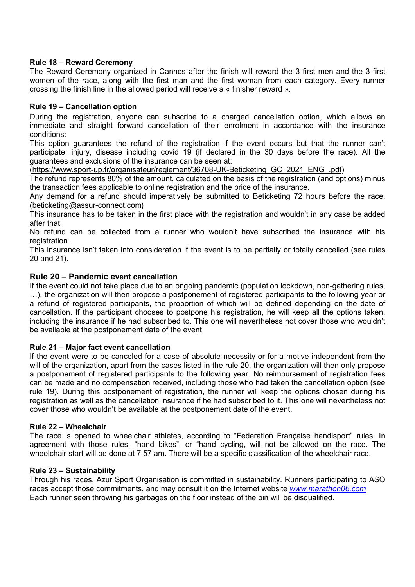# **Rule 18 – Reward Ceremony**

The Reward Ceremony organized in Cannes after the finish will reward the 3 first men and the 3 first women of the race, along with the first man and the first woman from each category. Every runner crossing the finish line in the allowed period will receive a « finisher reward ».

# **Rule 19 – Cancellation option**

During the registration, anyone can subscribe to a charged cancellation option, which allows an immediate and straight forward cancellation of their enrolment in accordance with the insurance conditions:

This option guarantees the refund of the registration if the event occurs but that the runner can't participate: injury, disease including covid 19 (if declared in the 30 days before the race). All the guarantees and exclusions of the insurance can be seen at:

[\(https://www.sport-up.fr/organisateur/reglement/36708-UK-Beticketing\\_GC\\_2021\\_ENG\\_.pdf\)](https://www.sport-up.fr/organisateur/reglement/36708-UK-Beticketing_GC_2021_ENG_.pdf)

The refund represents 80% of the amount, calculated on the basis of the registration (and options) minus the transaction fees applicable to online registration and the price of the insurance.

Any demand for a refund should imperatively be submitted to Beticketing 72 hours before the race. [\(beticketing@assur-connect.com](mailto:beticketing@assur-connect.com))

This insurance has to be taken in the first place with the registration and wouldn't in any case be added after that.

No refund can be collected from a runner who wouldn't have subscribed the insurance with his registration.

This insurance isn't taken into consideration if the event is to be partially or totally cancelled (see rules 20 and 21).

# **Rule 20 – Pandemic event cancellation**

If the event could not take place due to an ongoing pandemic (population lockdown, non-gathering rules, …), the organization will then propose a postponement of registered participants to the following year or a refund of registered participants, the proportion of which will be defined depending on the date of cancellation. If the participant chooses to postpone his registration, he will keep all the options taken, including the insurance if he had subscribed to. This one will nevertheless not cover those who wouldn't be available at the postponement date of the event.

#### **Rule 21 – Major fact event cancellation**

If the event were to be canceled for a case of absolute necessity or for a motive independent from the will of the organization, apart from the cases listed in the rule 20, the organization will then only propose a postponement of registered participants to the following year. No reimbursement of registration fees can be made and no compensation received, including those who had taken the cancellation option (see rule 19). During this postponement of registration, the runner will keep the options chosen during his registration as well as the cancellation insurance if he had subscribed to it. This one will nevertheless not cover those who wouldn't be available at the postponement date of the event.

#### **Rule 22 – Wheelchair**

The race is opened to wheelchair athletes, according to "Federation Française handisport" rules. In agreement with those rules, "hand bikes", or "hand cycling, will not be allowed on the race. The wheelchair start will be done at 7.57 am. There will be a specific classification of the wheelchair race.

#### **Rule 23 – Sustainability**

Through his races, Azur Sport Organisation is committed in sustainability. Runners participating to ASO races accept those commitments, and may consult it on the Internet website *www.marathon06.com* Each runner seen throwing his garbages on the floor instead of the bin will be disqualified.